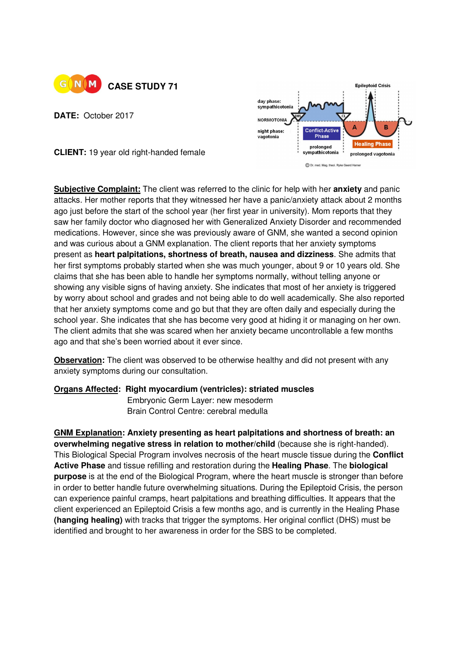

**DATE:** October 2017



**CLIENT:** 19 year old right-handed female

**Subjective Complaint:** The client was referred to the clinic for help with her **anxiety** and panic attacks. Her mother reports that they witnessed her have a panic/anxiety attack about 2 months ago just before the start of the school year (her first year in university). Mom reports that they saw her family doctor who diagnosed her with Generalized Anxiety Disorder and recommended medications. However, since she was previously aware of GNM, she wanted a second opinion and was curious about a GNM explanation. The client reports that her anxiety symptoms present as **heart palpitations, shortness of breath, nausea and dizziness**. She admits that her first symptoms probably started when she was much younger, about 9 or 10 years old. She claims that she has been able to handle her symptoms normally, without telling anyone or showing any visible signs of having anxiety. She indicates that most of her anxiety is triggered by worry about school and grades and not being able to do well academically. She also reported that her anxiety symptoms come and go but that they are often daily and especially during the school year. She indicates that she has become very good at hiding it or managing on her own. The client admits that she was scared when her anxiety became uncontrollable a few months ago and that she's been worried about it ever since.

**Observation:** The client was observed to be otherwise healthy and did not present with any anxiety symptoms during our consultation.

## **Organs Affected: Right myocardium (ventricles): striated muscles**

**Embryonic Germ Layer: new mesoderm** Brain Control Centre: cerebral medulla

**GNM Explanation: Anxiety presenting as heart palpitations and shortness of breath: an overwhelming negative stress in relation to mother/child** (because she is right-handed). This Biological Special Program involves necrosis of the heart muscle tissue during the **Conflict Active Phase** and tissue refilling and restoration during the **Healing Phase**. The **biological purpose** is at the end of the Biological Program, where the heart muscle is stronger than before in order to better handle future overwhelming situations. During the Epileptoid Crisis, the person can experience painful cramps, heart palpitations and breathing difficulties. It appears that the client experienced an Epileptoid Crisis a few months ago, and is currently in the Healing Phase **(hanging healing)** with tracks that trigger the symptoms. Her original conflict (DHS) must be identified and brought to her awareness in order for the SBS to be completed.